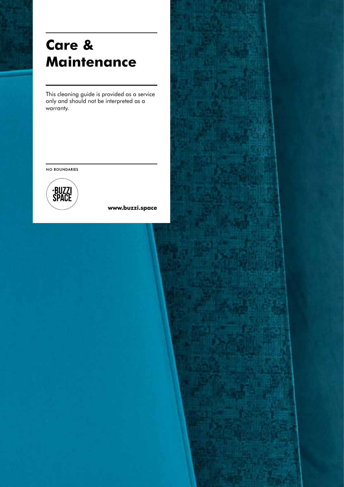# **Care & Maintenance**

This cleaning guide is provided as a service only and should not be interpreted as a warranty.

NO BOUNDARIES



**www.buzzi.space**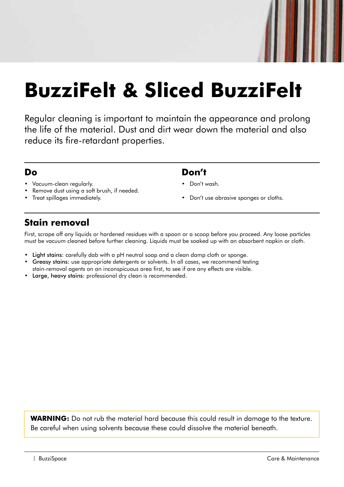# **BuzziFelt & Sliced BuzziFelt**

Regular cleaning is important to maintain the appearance and prolong the life of the material. Dust and dirt wear down the material and also reduce its fire-retardant properties.

#### **Do**

- Vacuum-clean regularly.
- Remove dust using a soft brush, if needed.
- Treat spillages immediately.

#### **Don't**

- Don't wash.
- Don't use abrasive sponges or cloths.

# **Stain removal**

First, scrape off any liquids or hardened residues with a spoon or a scoop before you proceed. Any loose particles must be vacuum cleaned before further cleaning. Liquids must be soaked up with an absorbent napkin or cloth.

- Light stains: carefully dab with a pH neutral soap and a clean damp cloth or sponge.
- Greasy stains: use appropriate detergents or solvents. In all cases, we recommend testing stain-removal agents on an inconspicuous area first, to see if are any effects are visible.
- Large, heavy stains: professional dry clean is recommended.

WARNING: Do not rub the material hard because this could result in damage to the texture. Be careful when using solvents because these could dissolve the material beneath.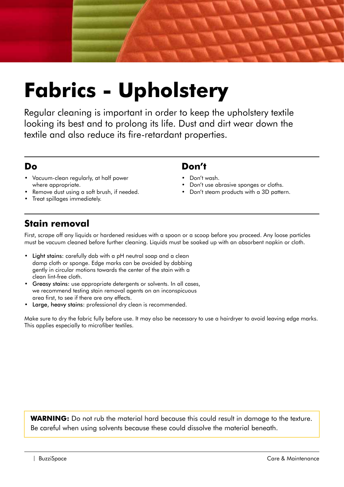

# **Fabrics - Upholstery**

Regular cleaning is important in order to keep the upholstery textile looking its best and to prolong its life. Dust and dirt wear down the textile and also reduce its fire-retardant properties.

#### **Do**

- Vacuum-clean regularly, at half power where appropriate.
- Remove dust using a soft brush, if needed.
- Treat spillages immediately.

#### **Don't**

- Don't wash.
- Don't use abrasive sponges or cloths.
- Don't steam products with a 3D pattern.

# **Stain removal**

First, scrape off any liquids or hardened residues with a spoon or a scoop before you proceed. Any loose particles must be vacuum cleaned before further cleaning. Liquids must be soaked up with an absorbent napkin or cloth.

- Light stains: carefully dab with a pH neutral soap and a clean damp cloth or sponge. Edge marks can be avoided by dabbing gently in circular motions towards the center of the stain with a clean lint-free cloth.
- Greasy stains: use appropriate detergents or solvents. In all cases, we recommend testing stain removal agents on an inconspicuous area first, to see if there are any effects.
- Large, heavy stains: professional dry clean is recommended.

Make sure to dry the fabric fully before use. It may also be necessary to use a hairdryer to avoid leaving edge marks. This applies especially to microfiber textiles.

WARNING: Do not rub the material hard because this could result in damage to the texture. Be careful when using solvents because these could dissolve the material beneath.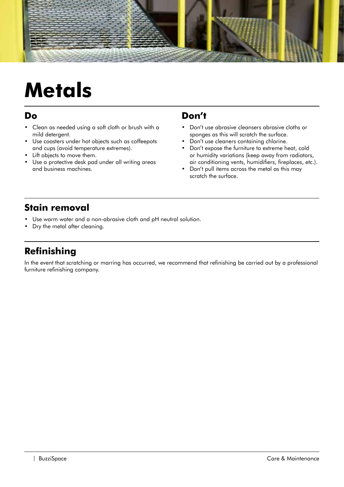

# **Metals**

#### **Do**

- Clean as needed using a soft cloth or brush with a mild detergent.
- Use coasters under hot objects such as coffeepots and cups (avoid temperature extremes).
- Lift objects to move them.
- Use a protective desk pad under all writing areas and business machines.

#### **Don't**

- Don't use abrasive cleansers abrasive cloths or sponges as this will scratch the surface.
- Don't use cleaners containing chlorine.
- Don't expose the furniture to extreme heat, cold or humidity variations (keep away from radiators, air conditioning vents, humidifiers, fireplaces, etc.).
- Don't pull items across the metal as this may scratch the surface.

### **Stain removal**

- Use warm water and a non-abrasive cloth and pH neutral solution.
- Dry the metal after cleaning.

### **Refinishing**

In the event that scratching or marring has occurred, we recommend that refinishing be carried out by a professional furniture refinishing company.